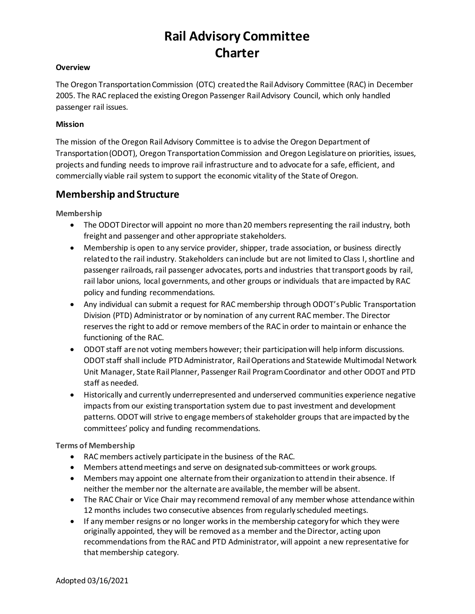### **Rail Advisory Committee Charter**

### **Overview**

The Oregon Transportation Commission (OTC) created the Rail Advisory Committee (RAC) in December 2005. The RAC replaced the existing Oregon Passenger Rail Advisory Council, which only handled passenger rail issues.

#### **Mission**

The mission of the Oregon Rail Advisory Committee is to advise the Oregon Department of Transportation(ODOT), Oregon Transportation Commission and Oregon Legislature on priorities, issues, projects and funding needs to improve rail infrastructure and to advocate for a safe, efficient, and commercially viable rail system to support the economic vitality of the State of Oregon.

### **Membership and Structure**

**Membership**

- The ODOT Director will appoint no more than 20 members representing the rail industry, both freight and passenger and other appropriate stakeholders.
- Membership is open to any service provider, shipper, trade association, or business directly related to the rail industry. Stakeholders can include but are not limited to Class I, shortline and passenger railroads, rail passenger advocates, ports and industries that transport goods by rail, rail labor unions, local governments, and other groups or individuals that are impacted by RAC policy and funding recommendations.
- Any individual can submit a request for RAC membership through ODOT's Public Transportation Division (PTD) Administrator or by nomination of any current RAC member. The Director reserves the right to add or remove members of the RAC in order to maintain or enhance the functioning of the RAC.
- ODOT staff are not voting members however; their participation will help inform discussions. ODOT staff shall include PTD Administrator, Rail Operations and Statewide Multimodal Network Unit Manager, State Rail Planner, Passenger Rail Program Coordinator and other ODOT and PTD staff as needed.
- Historically and currently underrepresented and underserved communities experience negative impacts from our existing transportation system due to past investment and development patterns. ODOT will strive to engage members of stakeholder groups that are impacted by the committees' policy and funding recommendations.

**Terms of Membership**

- RAC members actively participate in the business of the RAC.
- Members attend meetings and serve on designated sub-committees or work groups.
- Members may appoint one alternate from their organization to attend in their absence. If neither the member nor the alternate are available, the member will be absent.
- The RAC Chair or Vice Chair may recommend removal of any member whose attendance within 12 months includes two consecutive absences from regularly scheduled meetings.
- If any member resigns or no longer works in the membership category for which they were originally appointed, they will be removed as a member and the Director, acting upon recommendations from the RAC and PTD Administrator, will appoint a new representative for that membership category.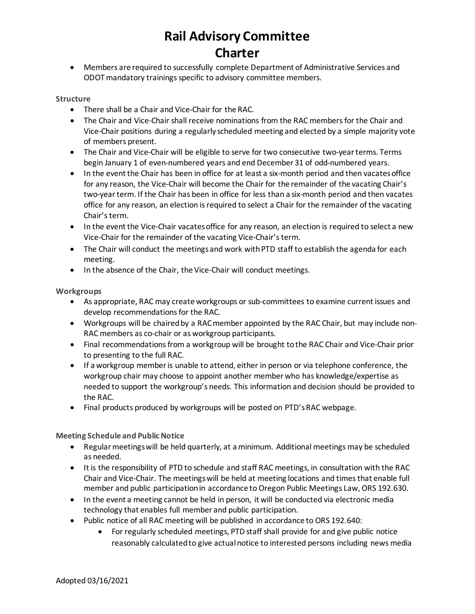# **Rail Advisory Committee Charter**

• Members are required to successfully complete Department of Administrative Services and ODOT mandatory trainings specific to advisory committee members.

### **Structure**

- There shall be a Chair and Vice-Chair for the RAC.
- The Chair and Vice-Chair shall receive nominations from the RAC members for the Chair and Vice-Chair positions during a regularly scheduled meeting and elected by a simple majority vote of members present.
- The Chair and Vice-Chair will be eligible to serve for two consecutive two-year terms. Terms begin January 1 of even-numbered years and end December 31 of odd-numbered years.
- In the event the Chair has been in office for at least a six-month period and then vacates office for any reason, the Vice-Chair will become the Chair for the remainder of the vacating Chair's two-year term. If the Chair has been in office for less than a six-month period and then vacates office for any reason, an election is required to select a Chair for the remainder of the vacating Chair's term.
- In the event the Vice-Chair vacates office for any reason, an election is required to select a new Vice-Chair for the remainder of the vacating Vice-Chair's term.
- The Chair will conduct the meetings and work with PTD staff to establish the agenda for each meeting.
- In the absence of the Chair, the Vice-Chair will conduct meetings.

#### **Workgroups**

- As appropriate, RAC may create workgroups or sub-committees to examine current issues and develop recommendations for the RAC.
- Workgroups will be chaired by a RAC member appointed by the RAC Chair, but may include non-RAC members as co-chair or as workgroup participants.
- Final recommendations from a workgroup will be brought to the RAC Chair and Vice-Chair prior to presenting to the full RAC.
- If a workgroup member is unable to attend, either in person or via telephone conference, the workgroup chair may choose to appoint another member who has knowledge/expertise as needed to support the workgroup's needs. This information and decision should be provided to the RAC.
- Final products produced by workgroups will be posted on PTD's RAC webpage.

**Meeting Schedule and Public Notice**

- Regular meetings will be held quarterly, at a minimum. Additional meetings may be scheduled as needed.
- It is the responsibility of PTD to schedule and staff RAC meetings, in consultation with the RAC Chair and Vice-Chair. The meetings will be held at meeting locations and times that enable full member and public participationin accordance to Oregon Public Meetings Law, ORS 192.630.
- In the event a meeting cannot be held in person, it will be conducted via electronic media technology that enables full member and public participation.
- Public notice of all RAC meeting will be published in accordance to ORS 192.640:
	- For regularly scheduled meetings, PTD staff shall provide for and give public notice reasonably calculated to give actual notice to interested persons including news media